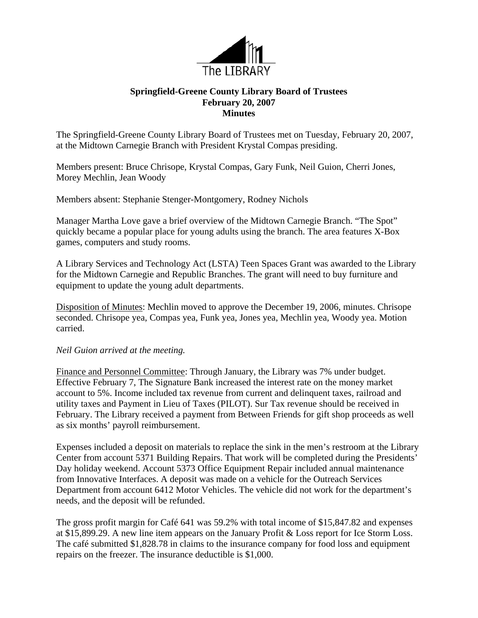

## **Springfield-Greene County Library Board of Trustees February 20, 2007 Minutes**

The Springfield-Greene County Library Board of Trustees met on Tuesday, February 20, 2007, at the Midtown Carnegie Branch with President Krystal Compas presiding.

Members present: Bruce Chrisope, Krystal Compas, Gary Funk, Neil Guion, Cherri Jones, Morey Mechlin, Jean Woody

Members absent: Stephanie Stenger-Montgomery, Rodney Nichols

Manager Martha Love gave a brief overview of the Midtown Carnegie Branch. "The Spot" quickly became a popular place for young adults using the branch. The area features X-Box games, computers and study rooms.

A Library Services and Technology Act (LSTA) Teen Spaces Grant was awarded to the Library for the Midtown Carnegie and Republic Branches. The grant will need to buy furniture and equipment to update the young adult departments.

Disposition of Minutes: Mechlin moved to approve the December 19, 2006, minutes. Chrisope seconded. Chrisope yea, Compas yea, Funk yea, Jones yea, Mechlin yea, Woody yea. Motion carried.

## *Neil Guion arrived at the meeting.*

Finance and Personnel Committee: Through January, the Library was 7% under budget. Effective February 7, The Signature Bank increased the interest rate on the money market account to 5%. Income included tax revenue from current and delinquent taxes, railroad and utility taxes and Payment in Lieu of Taxes (PILOT). Sur Tax revenue should be received in February. The Library received a payment from Between Friends for gift shop proceeds as well as six months' payroll reimbursement.

Expenses included a deposit on materials to replace the sink in the men's restroom at the Library Center from account 5371 Building Repairs. That work will be completed during the Presidents' Day holiday weekend. Account 5373 Office Equipment Repair included annual maintenance from Innovative Interfaces. A deposit was made on a vehicle for the Outreach Services Department from account 6412 Motor Vehicles. The vehicle did not work for the department's needs, and the deposit will be refunded.

The gross profit margin for Café 641 was 59.2% with total income of \$15,847.82 and expenses at \$15,899.29. A new line item appears on the January Profit & Loss report for Ice Storm Loss. The café submitted \$1,828.78 in claims to the insurance company for food loss and equipment repairs on the freezer. The insurance deductible is \$1,000.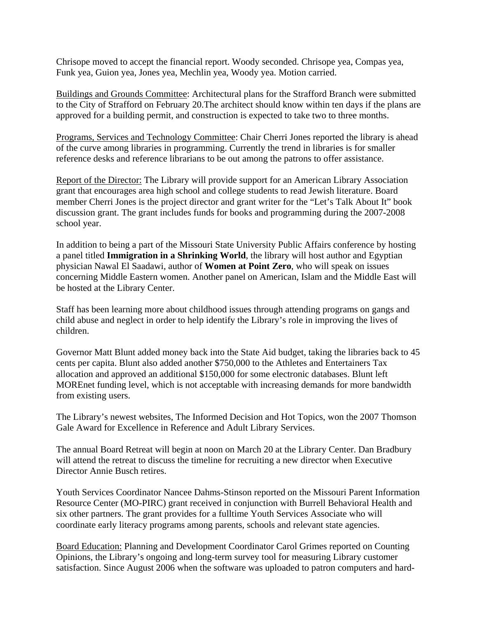Chrisope moved to accept the financial report. Woody seconded. Chrisope yea, Compas yea, Funk yea, Guion yea, Jones yea, Mechlin yea, Woody yea. Motion carried.

Buildings and Grounds Committee: Architectural plans for the Strafford Branch were submitted to the City of Strafford on February 20.The architect should know within ten days if the plans are approved for a building permit, and construction is expected to take two to three months.

Programs, Services and Technology Committee: Chair Cherri Jones reported the library is ahead of the curve among libraries in programming. Currently the trend in libraries is for smaller reference desks and reference librarians to be out among the patrons to offer assistance.

Report of the Director: The Library will provide support for an American Library Association grant that encourages area high school and college students to read Jewish literature. Board member Cherri Jones is the project director and grant writer for the "Let's Talk About It" book discussion grant. The grant includes funds for books and programming during the 2007-2008 school year.

In addition to being a part of the Missouri State University Public Affairs conference by hosting a panel titled **Immigration in a Shrinking World**, the library will host author and Egyptian physician Nawal El Saadawi, author of **Women at Point Zero**, who will speak on issues concerning Middle Eastern women. Another panel on American, Islam and the Middle East will be hosted at the Library Center.

Staff has been learning more about childhood issues through attending programs on gangs and child abuse and neglect in order to help identify the Library's role in improving the lives of children.

Governor Matt Blunt added money back into the State Aid budget, taking the libraries back to 45 cents per capita. Blunt also added another \$750,000 to the Athletes and Entertainers Tax allocation and approved an additional \$150,000 for some electronic databases. Blunt left MOREnet funding level, which is not acceptable with increasing demands for more bandwidth from existing users.

The Library's newest websites, The Informed Decision and Hot Topics, won the 2007 Thomson Gale Award for Excellence in Reference and Adult Library Services.

The annual Board Retreat will begin at noon on March 20 at the Library Center. Dan Bradbury will attend the retreat to discuss the timeline for recruiting a new director when Executive Director Annie Busch retires.

Youth Services Coordinator Nancee Dahms-Stinson reported on the Missouri Parent Information Resource Center (MO-PIRC) grant received in conjunction with Burrell Behavioral Health and six other partners. The grant provides for a fulltime Youth Services Associate who will coordinate early literacy programs among parents, schools and relevant state agencies.

Board Education: Planning and Development Coordinator Carol Grimes reported on Counting Opinions, the Library's ongoing and long-term survey tool for measuring Library customer satisfaction. Since August 2006 when the software was uploaded to patron computers and hard